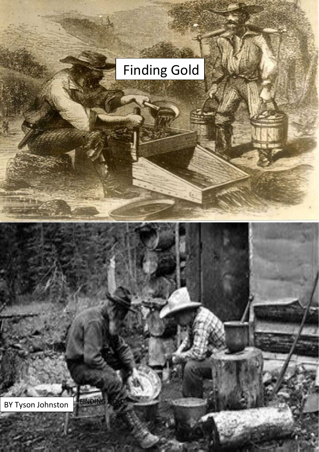## Finding Gold

BY Tyson Johnston

**Different** 

FINDING GOLD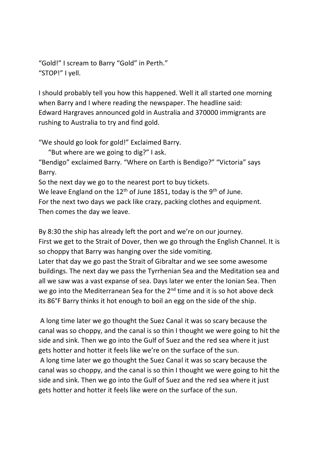"Gold!" I scream to Barry "Gold" in Perth." "STOP!" I yell.

I should probably tell you how this happened. Well it all started one morning when Barry and I where reading the newspaper. The headline said: Edward Hargraves announced gold in Australia and 370000 immigrants are rushing to Australia to try and find gold.

"We should go look for gold!" Exclaimed Barry.

"But where are we going to dig?" I ask.

"Bendigo" exclaimed Barry. "Where on Earth is Bendigo?" "Victoria" says Barry.

So the next day we go to the nearest port to buy tickets.

We leave England on the  $12<sup>th</sup>$  of June 1851, today is the 9<sup>th</sup> of June.

For the next two days we pack like crazy, packing clothes and equipment. Then comes the day we leave.

By 8:30 the ship has already left the port and we're on our journey. First we get to the Strait of Dover, then we go through the English Channel. It is so choppy that Barry was hanging over the side vomiting.

Later that day we go past the Strait of Gibraltar and we see some awesome buildings. The next day we pass the Tyrrhenian Sea and the Meditation sea and all we saw was a vast expanse of sea. Days later we enter the Ionian Sea. Then we go into the Mediterranean Sea for the 2<sup>nd</sup> time and it is so hot above deck its 86°F Barry thinks it hot enough to boil an egg on the side of the ship.

A long time later we go thought the Suez Canal it was so scary because the canal was so choppy, and the canal is so thin I thought we were going to hit the side and sink. Then we go into the Gulf of Suez and the red sea where it just gets hotter and hotter it feels like we're on the surface of the sun.

A long time later we go thought the Suez Canal it was so scary because the canal was so choppy, and the canal is so thin I thought we were going to hit the side and sink. Then we go into the Gulf of Suez and the red sea where it just gets hotter and hotter it feels like were on the surface of the sun.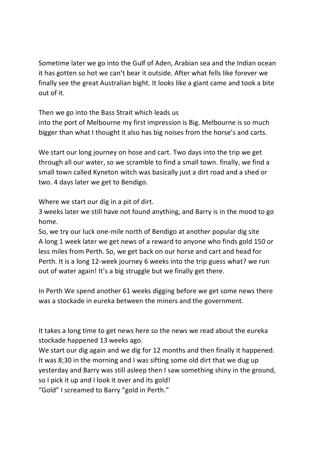Sometime later we go into the Gulf of Aden, Arabian sea and the Indian ocean it has gotten so hot we can't bear it outside. After what fells like forever we finally see the great Australian bight. It looks like a giant came and took a bite out of it.

Then we go into the Bass Strait which leads us

into the port of Melbourne my first impression is Big. Melbourne is so much bigger than what I thought it also has big noises from the horse's and carts.

We start our long journey on hose and cart. Two days into the trip we get through all our water, so we scramble to find a small town. finally, we find a small town called Kyneton witch was basically just a dirt road and a shed or two. 4 days later we get to Bendigo.

Where we start our dig in a pit of dirt.

3 weeks later we still have not found anything, and Barry is in the mood to go home.

So, we try our luck one-mile north of Bendigo at another popular dig site A long 1 week later we get news of a reward to anyone who finds gold 150 or less miles from Perth. So, we get back on our horse and cart and head for Perth. It is a long 12-week journey 6 weeks into the trip guess what? we run out of water again! It's a big struggle but we finally get there.

In Perth We spend another 61 weeks digging before we get some news there was a stockade in eureka between the miners and the government.

It takes a long time to get news here so the news we read about the eureka stockade happened 13 weeks ago.

We start our dig again and we dig for 12 months and then finally it happened. It was 8;30 in the morning and I was sifting some old dirt that we dug up yesterday and Barry was still asleep then I saw something shiny in the ground, so I pick it up and I look it over and its gold!

"Gold" I screamed to Barry "gold in Perth."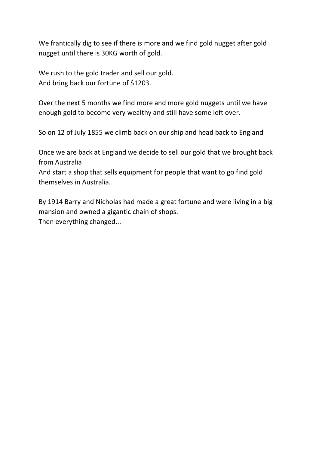We frantically dig to see if there is more and we find gold nugget after gold nugget until there is 30KG worth of gold.

We rush to the gold trader and sell our gold. And bring back our fortune of \$1203.

Over the next 5 months we find more and more gold nuggets until we have enough gold to become very wealthy and still have some left over.

So on 12 of July 1855 we climb back on our ship and head back to England

Once we are back at England we decide to sell our gold that we brought back from Australia

And start a shop that sells equipment for people that want to go find gold themselves in Australia.

By 1914 Barry and Nicholas had made a great fortune and were living in a big mansion and owned a gigantic chain of shops. Then everything changed...